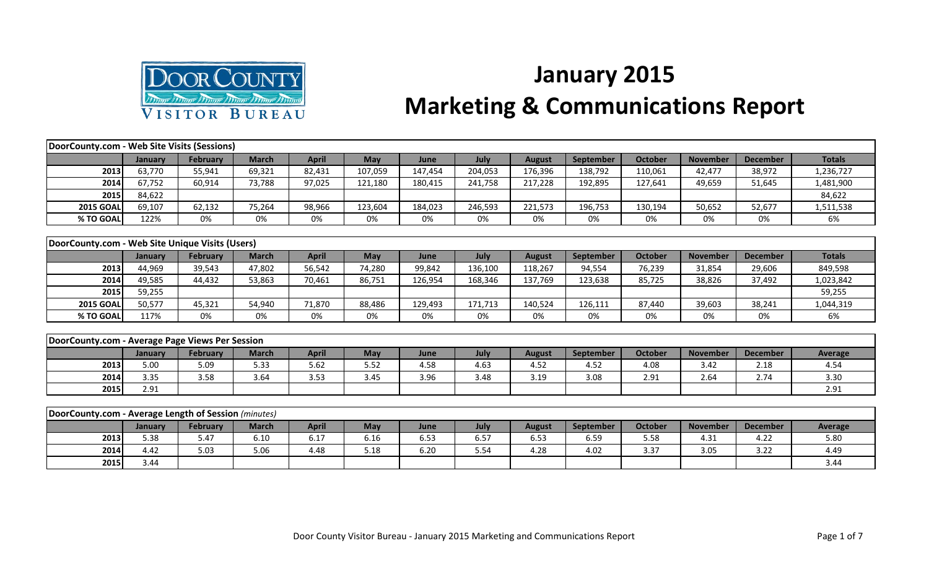

## **January 2015 Marketing & Communications Report**

| DoorCounty.com - Web Site Visits (Sessions)          |         |                 |              |              |            |         |         |               |                  |                |                 |                 |                |
|------------------------------------------------------|---------|-----------------|--------------|--------------|------------|---------|---------|---------------|------------------|----------------|-----------------|-----------------|----------------|
|                                                      | January | February        | <b>March</b> | <b>April</b> | <b>May</b> | June    | July    | <b>August</b> | September        | <b>October</b> | <b>November</b> | <b>December</b> | <b>Totals</b>  |
| 2013                                                 | 63,770  | 55,941          | 69,321       | 82,431       | 107,059    | 147,454 | 204,053 | 176,396       | 138,792          | 110,061        | 42,477          | 38,972          | 1,236,727      |
| 2014                                                 | 67,752  | 60,914          | 73,788       | 97,025       | 121,180    | 180,415 | 241,758 | 217,228       | 192,895          | 127,641        | 49,659          | 51,645          | 1,481,900      |
| 2015                                                 | 84,622  |                 |              |              |            |         |         |               |                  |                |                 |                 | 84,622         |
| <b>2015 GOAL</b>                                     | 69,107  | 62,132          | 75,264       | 98,966       | 123,604    | 184,023 | 246,593 | 221,573       | 196,753          | 130,194        | 50,652          | 52,677          | 1,511,538      |
| % TO GOAL                                            | 122%    | 0%              | 0%           | 0%           | 0%         | 0%      | 0%      | 0%            | 0%               | 0%             | 0%              | 0%              | 6%             |
|                                                      |         |                 |              |              |            |         |         |               |                  |                |                 |                 |                |
| DoorCounty.com - Web Site Unique Visits (Users)      |         |                 |              |              |            |         |         |               |                  |                |                 |                 |                |
|                                                      | January | <b>February</b> | <b>March</b> | <b>April</b> | <b>May</b> | June    | July    | <b>August</b> | <b>September</b> | <b>October</b> | <b>November</b> | <b>December</b> | <b>Totals</b>  |
| 2013                                                 | 44,969  | 39,543          | 47,802       | 56,542       | 74,280     | 99,842  | 136,100 | 118,267       | 94,554           | 76,239         | 31,854          | 29,606          | 849,598        |
| 2014                                                 | 49,585  | 44,432          | 53,863       | 70,461       | 86,751     | 126,954 | 168,346 | 137,769       | 123,638          | 85,725         | 38,826          | 37,492          | 1,023,842      |
| 2015                                                 | 59,255  |                 |              |              |            |         |         |               |                  |                |                 |                 | 59,255         |
| <b>2015 GOAL</b>                                     | 50,577  | 45,321          | 54,940       | 71,870       | 88,486     | 129,493 | 171,713 | 140,524       | 126,111          | 87,440         | 39,603          | 38,241          | 1,044,319      |
| % TO GOAL                                            | 117%    | 0%              | 0%           | 0%           | 0%         | 0%      | 0%      | 0%            | 0%               | 0%             | 0%              | 0%              | 6%             |
|                                                      |         |                 |              |              |            |         |         |               |                  |                |                 |                 |                |
| DoorCounty.com - Average Page Views Per Session      |         |                 |              |              |            |         |         |               |                  |                |                 |                 |                |
|                                                      | January | February        | <b>March</b> | <b>April</b> | <b>May</b> | June    | July    | <b>August</b> | September        | <b>October</b> | <b>November</b> | <b>December</b> | Average        |
| 2013                                                 | 5.00    | 5.09            | 5.33         | 5.62         | 5.52       | 4.58    | 4.63    | 4.52          | 4.52             | 4.08           | 3.42            | 2.18            | 4.54           |
| 2014                                                 | 3.35    | 3.58            | 3.64         | 3.53         | 3.45       | 3.96    | 3.48    | 3.19          | 3.08             | 2.91           | 2.64            | 2.74            | 3.30           |
| 2015                                                 | 2.91    |                 |              |              |            |         |         |               |                  |                |                 |                 | 2.91           |
|                                                      |         |                 |              |              |            |         |         |               |                  |                |                 |                 |                |
| DoorCounty.com - Average Length of Session (minutes) |         |                 |              |              |            |         |         |               |                  |                |                 |                 |                |
|                                                      | January | February        | <b>March</b> | <b>April</b> | May        | June    | July    | <b>August</b> | September        | <b>October</b> | <b>November</b> | <b>December</b> | <b>Average</b> |
| 2013                                                 | 5.38    | 5.47            | 6.10         | 6.17         | 6.16       | 6.53    | 6.57    | 6.53          | 6.59             | 5.58           | 4.31            | 4.22            | 5.80           |
| 2014                                                 | 4.42    | 5.03            | 5.06         | 4.48         | 5.18       | 6.20    | 5.54    | 4.28          | 4.02             | 3.37           | 3.05            | 3.22            | 4.49           |

**2015** 3.44 3.44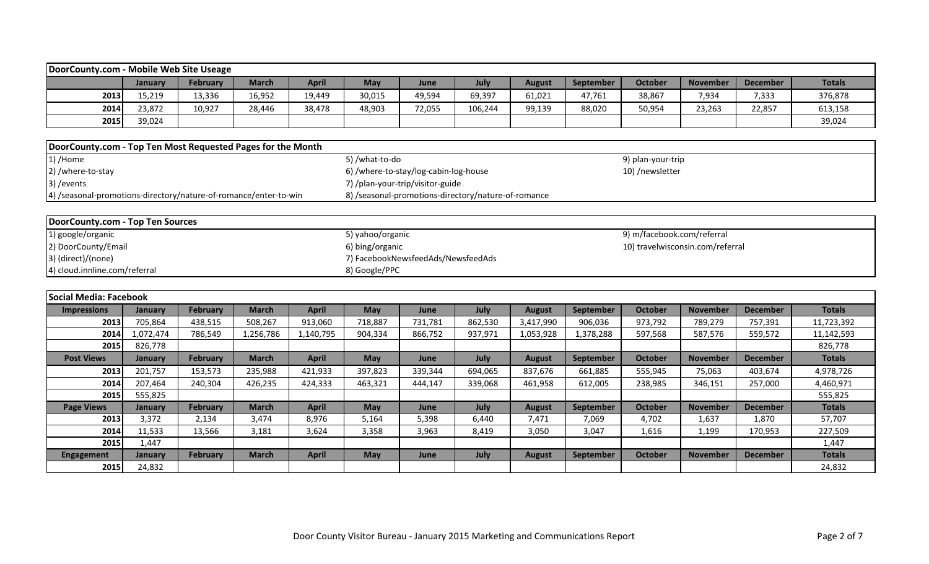| DoorCounty.com - Mobile Web Site Useage                                    |                |                 |              |              |                                                     |         |         |               |                  |                            |                 |                 |               |
|----------------------------------------------------------------------------|----------------|-----------------|--------------|--------------|-----------------------------------------------------|---------|---------|---------------|------------------|----------------------------|-----------------|-----------------|---------------|
|                                                                            | January        | <b>February</b> | <b>March</b> | <b>April</b> | May                                                 | June    | July    | <b>August</b> | September        | <b>October</b>             | <b>November</b> | <b>December</b> | <b>Totals</b> |
| 2013                                                                       | 15,219         | 13,336          | 16,952       | 19,449       | 30,015                                              | 49,594  | 69,397  | 61,021        | 47,761           | 38,867                     | 7,934           | 7,333           | 376,878       |
| 2014                                                                       | 23,872         | 10,927          | 28,446       | 38,478       | 48,903                                              | 72,055  | 106,244 | 99,139        | 88,020           | 50,954                     | 23,263          | 22,857          | 613,158       |
| 2015                                                                       | 39,024         |                 |              |              |                                                     |         |         |               |                  |                            |                 |                 | 39,024        |
|                                                                            |                |                 |              |              |                                                     |         |         |               |                  |                            |                 |                 |               |
| DoorCounty.com - Top Ten Most Requested Pages for the Month                |                |                 |              |              |                                                     |         |         |               |                  |                            |                 |                 |               |
| 1) /Home                                                                   |                |                 |              |              | 5) /what-to-do                                      |         |         |               |                  | 9) plan-your-trip          |                 |                 |               |
| 2) /where-to-stay                                                          |                |                 |              |              | 6) /where-to-stay/log-cabin-log-house               |         |         |               |                  | 10) /newsletter            |                 |                 |               |
| 3) / events                                                                |                |                 |              |              | 7) /plan-your-trip/visitor-guide                    |         |         |               |                  |                            |                 |                 |               |
| 4) /seasonal-promotions-directory/nature-of-romance/enter-to-win           |                |                 |              |              | 8) /seasonal-promotions-directory/nature-of-romance |         |         |               |                  |                            |                 |                 |               |
|                                                                            |                |                 |              |              |                                                     |         |         |               |                  |                            |                 |                 |               |
| DoorCounty.com - Top Ten Sources                                           |                |                 |              |              |                                                     |         |         |               |                  |                            |                 |                 |               |
| 1) google/organic                                                          |                |                 |              |              | 5) yahoo/organic                                    |         |         |               |                  | 9) m/facebook.com/referral |                 |                 |               |
| 2) DoorCounty/Email<br>6) bing/organic<br>10) travelwisconsin.com/referral |                |                 |              |              |                                                     |         |         |               |                  |                            |                 |                 |               |
| 3) (direct)/(none)<br>7) FacebookNewsfeedAds/NewsfeedAds                   |                |                 |              |              |                                                     |         |         |               |                  |                            |                 |                 |               |
| 4) cloud.innline.com/referral<br>8) Google/PPC                             |                |                 |              |              |                                                     |         |         |               |                  |                            |                 |                 |               |
|                                                                            |                |                 |              |              |                                                     |         |         |               |                  |                            |                 |                 |               |
| Social Media: Facebook                                                     |                |                 |              |              |                                                     |         |         |               |                  |                            |                 |                 |               |
| <b>Impressions</b>                                                         | January        | February        | <b>March</b> | <b>April</b> | May                                                 | June    | July    | <b>August</b> | September        | <b>October</b>             | <b>November</b> | <b>December</b> | <b>Totals</b> |
| 2013                                                                       | 705,864        | 438,515         | 508,267      | 913,060      | 718,887                                             | 731,781 | 862,530 | 3,417,990     | 906,036          | 973,792                    | 789,279         | 757,391         | 11,723,392    |
| 2014                                                                       | 1,072,474      | 786,549         | 1,256,786    | 1,140,795    | 904,334                                             | 866,752 | 937,971 | 1,053,928     | 1,378,288        | 597,568                    | 587,576         | 559,572         | 11,142,593    |
| 2015                                                                       | 826,778        |                 |              |              |                                                     |         |         |               |                  |                            |                 |                 | 826,778       |
| <b>Post Views</b>                                                          | January        | <b>February</b> | <b>March</b> | <b>April</b> | May                                                 | June    | July    | <b>August</b> | <b>September</b> | <b>October</b>             | <b>November</b> | <b>December</b> | <b>Totals</b> |
| 2013                                                                       | 201,757        | 153,573         | 235,988      | 421,933      | 397,823                                             | 339,344 | 694,065 | 837,676       | 661,885          | 555,945                    | 75,063          | 403,674         | 4,978,726     |
| 2014                                                                       | 207,464        | 240,304         | 426,235      | 424,333      | 463,321                                             | 444,147 | 339,068 | 461,958       | 612,005          | 238,985                    | 346,151         | 257,000         | 4,460,971     |
| 2015                                                                       | 555,825        |                 |              |              |                                                     |         |         |               |                  |                            |                 |                 | 555,825       |
| <b>Page Views</b>                                                          | <b>January</b> | February        | <b>March</b> | <b>April</b> | <b>May</b>                                          | June    | July    | <b>August</b> | <b>September</b> | <b>October</b>             | <b>November</b> | <b>December</b> | <b>Totals</b> |
| 2013                                                                       | 3,372          | 2,134           | 3,474        | 8,976        | 5,164                                               | 5,398   | 6,440   | 7,471         | 7,069            | 4,702                      | 1,637           | 1,870           | 57,707        |
| 2014                                                                       | 11,533         | 13,566          | 3,181        | 3,624        | 3,358                                               | 3,963   | 8,419   | 3,050         | 3,047            | 1,616                      | 1,199           | 170,953         | 227,509       |
| 2015                                                                       | 1,447          |                 |              |              |                                                     |         |         |               |                  |                            |                 |                 | 1,447         |
| <b>Engagement</b>                                                          | January        | February        | <b>March</b> | <b>April</b> | May                                                 | June    | July    | <b>August</b> | September        | <b>October</b>             | <b>November</b> | <b>December</b> | <b>Totals</b> |
| 2015                                                                       | 24,832         |                 |              |              |                                                     |         |         |               |                  |                            |                 |                 | 24,832        |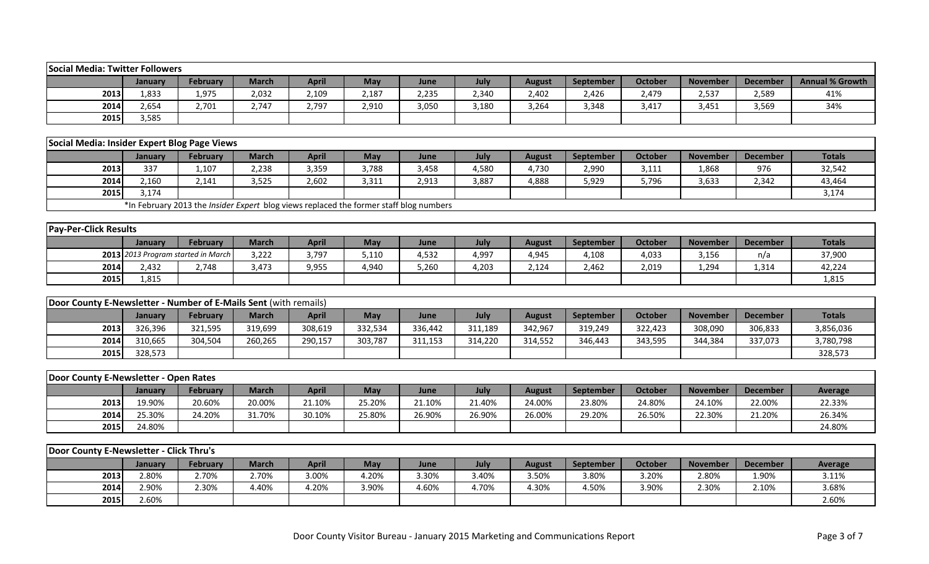| <b>Social Media: Twitter Followers</b>                           |                |                                                                                        |              |              |            |         |         |               |           |                |                 |                 |                        |
|------------------------------------------------------------------|----------------|----------------------------------------------------------------------------------------|--------------|--------------|------------|---------|---------|---------------|-----------|----------------|-----------------|-----------------|------------------------|
|                                                                  | January        | <b>February</b>                                                                        | <b>March</b> | <b>April</b> | <b>May</b> | June    | July    | <b>August</b> | September | <b>October</b> | <b>November</b> | <b>December</b> | <b>Annual % Growth</b> |
| 2013                                                             | 1,833          | 1,975                                                                                  | 2,032        | 2,109        | 2,187      | 2,235   | 2,340   | 2,402         | 2,426     | 2,479          | 2,537           | 2,589           | 41%                    |
| 2014                                                             | 2,654          | 2,701                                                                                  | 2,747        | 2,797        | 2,910      | 3,050   | 3,180   | 3,264         | 3,348     | 3,417          | 3,451           | 3,569           | 34%                    |
| 2015                                                             | 3,585          |                                                                                        |              |              |            |         |         |               |           |                |                 |                 |                        |
|                                                                  |                |                                                                                        |              |              |            |         |         |               |           |                |                 |                 |                        |
| Social Media: Insider Expert Blog Page Views                     |                |                                                                                        |              |              |            |         |         |               |           |                |                 |                 |                        |
|                                                                  | January        | <b>February</b>                                                                        | <b>March</b> | <b>April</b> | <b>May</b> | June    | July    | <b>August</b> | September | <b>October</b> | <b>November</b> | <b>December</b> | <b>Totals</b>          |
| 2013                                                             | 337            | 1,107                                                                                  | 2,238        | 3,359        | 3,788      | 3,458   | 4,580   | 4,730         | 2,990     | 3,111          | 1,868           | 976             | 32,542                 |
| 2014                                                             | 2,160          | 2,141                                                                                  | 3,525        | 2,602        | 3,311      | 2,913   | 3,887   | 4,888         | 5,929     | 5,796          | 3,633           | 2,342           | 43,464                 |
| 2015                                                             | 3,174          |                                                                                        |              |              |            |         |         |               |           |                |                 |                 | 3,174                  |
|                                                                  |                | *In February 2013 the Insider Expert blog views replaced the former staff blog numbers |              |              |            |         |         |               |           |                |                 |                 |                        |
|                                                                  |                |                                                                                        |              |              |            |         |         |               |           |                |                 |                 |                        |
| <b>Pay-Per-Click Results</b>                                     |                |                                                                                        |              |              |            |         |         |               |           |                |                 |                 |                        |
|                                                                  | January        | February                                                                               | <b>March</b> | <b>April</b> | May        | June    | July    | <b>August</b> | September | <b>October</b> | <b>November</b> | <b>December</b> | <b>Totals</b>          |
|                                                                  |                | 2013 2013 Program started in March                                                     | 3,222        | 3,797        | 5,110      | 4,532   | 4,997   | 4,945         | 4,108     | 4,033          | 3,156           | n/a             | 37,900                 |
| 2014                                                             | 2,432          | 2,748                                                                                  | 3,473        | 9,955        | 4,940      | 5,260   | 4,203   | 2,124         | 2,462     | 2,019          | 1,294           | 1,314           | 42,224                 |
| 2015                                                             | 1,815          |                                                                                        |              |              |            |         |         |               |           |                |                 |                 | 1,815                  |
|                                                                  |                |                                                                                        |              |              |            |         |         |               |           |                |                 |                 |                        |
| Door County E-Newsletter - Number of E-Mails Sent (with remails) |                |                                                                                        |              |              |            |         |         |               |           |                |                 |                 |                        |
|                                                                  | <b>January</b> | February                                                                               | <b>March</b> | <b>April</b> | May        | June    | July    | <b>August</b> | September | <b>October</b> | <b>November</b> | <b>December</b> | <b>Totals</b>          |
| 2013                                                             | 326,396        | 321,595                                                                                | 319,699      | 308,619      | 332,534    | 336,442 | 311,189 | 342,967       | 319,249   | 322,423        | 308,090         | 306,833         | 3,856,036              |
| 2014                                                             | 310,665        | 304,504                                                                                | 260,265      | 290,157      | 303,787    | 311,153 | 314,220 | 314,552       | 346,443   | 343,595        | 344,384         | 337,073         | 3,780,798              |
| 2015                                                             | 328,573        |                                                                                        |              |              |            |         |         |               |           |                |                 |                 | 328,573                |
|                                                                  |                |                                                                                        |              |              |            |         |         |               |           |                |                 |                 |                        |
| Door County E-Newsletter - Open Rates                            |                |                                                                                        |              |              |            |         |         |               |           |                |                 |                 |                        |
|                                                                  | <b>January</b> | February                                                                               | <b>March</b> | <b>April</b> | May        | June    | July    | <b>August</b> | September | <b>October</b> | <b>November</b> | <b>December</b> | <b>Average</b>         |
| 2013                                                             | 19.90%         | 20.60%                                                                                 | 20.00%       | 21.10%       | 25.20%     | 21.10%  | 21.40%  | 24.00%        | 23.80%    | 24.80%         | 24.10%          | 22.00%          | 22.33%                 |
| 2014                                                             | 25.30%         | 24.20%                                                                                 | 31.70%       | 30.10%       | 25.80%     | 26.90%  | 26.90%  | 26.00%        | 29.20%    | 26.50%         | 22.30%          | 21.20%          | 26.34%                 |
| 2015                                                             | 24.80%         |                                                                                        |              |              |            |         |         |               |           |                |                 |                 | 24.80%                 |
|                                                                  |                |                                                                                        |              |              |            |         |         |               |           |                |                 |                 |                        |
| Door County E-Newsletter - Click Thru's                          |                |                                                                                        |              |              |            |         |         |               |           |                |                 |                 |                        |
|                                                                  | January        | <b>February</b>                                                                        | <b>March</b> | <b>April</b> | May        | June    | July    | <b>August</b> | September | October        | <b>November</b> | <b>December</b> | <b>Average</b>         |
| 2013                                                             | 2.80%          | 2.70%                                                                                  | 2.70%        | 3.00%        | 4.20%      | 3.30%   | 3.40%   | 3.50%         | 3.80%     | 3.20%          | 2.80%           | 1.90%           | 3.11%                  |
| 2014                                                             | 2.90%          | 2.30%                                                                                  | 4.40%        | 4.20%        | 3.90%      | 4.60%   | 4.70%   | 4.30%         | 4.50%     | 3.90%          | 2.30%           | 2.10%           | 3.68%                  |
| 2015                                                             | 2.60%          |                                                                                        |              |              |            |         |         |               |           |                |                 |                 | 2.60%                  |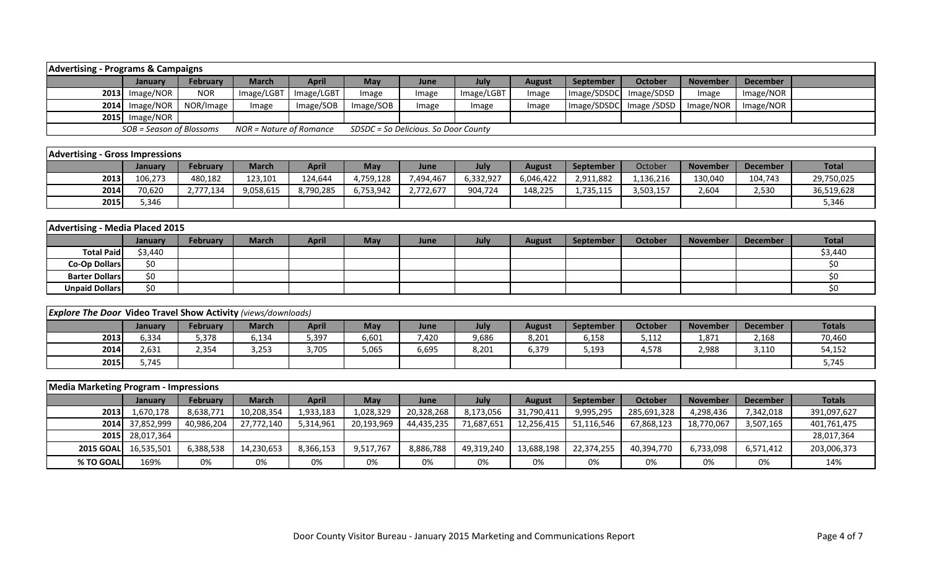| <b>Advertising - Programs &amp; Campaigns</b> |                          |                 |                         |              |           |                                      |            |               |                        |                        |                 |                 |  |
|-----------------------------------------------|--------------------------|-----------------|-------------------------|--------------|-----------|--------------------------------------|------------|---------------|------------------------|------------------------|-----------------|-----------------|--|
|                                               | <b>January</b>           | <b>February</b> | March                   | <b>April</b> | May       | June                                 | July       | <b>August</b> | <b>September</b>       | October                | <b>November</b> | <b>December</b> |  |
|                                               | 2013 Image/NOR           | <b>NOR</b>      | Image/LGBT              | Image/LGBT   | Image     | Image                                | Image/LGBT | Image         | Image/SDSDC Image/SDSD |                        | Image           | Image/NOR       |  |
|                                               | $2014$ Image/NOR         | NOR/Image       | Image                   | Image/SOB    | Image/SOB | Image                                | Image      | Image         |                        | Image/SDSDC Image/SDSD | Image/NOR       | Image/NOR       |  |
|                                               | 2015 Image/NOR           |                 |                         |              |           |                                      |            |               |                        |                        |                 |                 |  |
|                                               | SOB = Season of Blossoms |                 | NOR = Nature of Romance |              |           | SDSDC = So Delicious. So Door County |            |               |                        |                        |                 |                 |  |

| <b>Advertising - Gross Impressions</b> |         |           |              |           |           |           |           |           |                  |           |                 |                 |              |
|----------------------------------------|---------|-----------|--------------|-----------|-----------|-----------|-----------|-----------|------------------|-----------|-----------------|-----------------|--------------|
|                                        | January | February  | <b>March</b> | April     | May       | June      | July      | August    | <b>September</b> | October   | <b>November</b> | <b>December</b> | <b>Total</b> |
| 2013                                   | 106,273 | 480,182   | 123,101      | 124,644   | 4,759,128 | 7,494,467 | 6,332,927 | 6,046,422 | 2,911,882        | .,136,216 | 130,040         | 104,743         | 29,750,025   |
| 2014                                   | 70,620  | 2,777,134 | 9,058,615    | 8,790,285 | 6,753,942 | 2,772,677 | 904,724   | 148,225   | 1,735,115        | 3,503,157 | 2,604           | 2,530           | 36,519,628   |
| 2015                                   | 5,346   |           |              |           |           |           |           |           |                  |           |                 |                 | 5,346        |

| <b>Advertising - Media Placed 2015</b> |                |          |              |       |            |      |      |               |                  |         |                 |          |         |
|----------------------------------------|----------------|----------|--------------|-------|------------|------|------|---------------|------------------|---------|-----------------|----------|---------|
|                                        | <b>January</b> | February | <b>March</b> | April | <b>May</b> | June | July | <b>August</b> | <b>September</b> | October | <b>November</b> | December | Total   |
| <b>Total Paid</b>                      | \$3,440        |          |              |       |            |      |      |               |                  |         |                 |          | \$3,440 |
| <b>Co-Op Dollars</b>                   | \$0            |          |              |       |            |      |      |               |                  |         |                 |          | ¢Λ      |
| <b>Barter Dollars</b>                  | \$0            |          |              |       |            |      |      |               |                  |         |                 |          | ¢∩      |
| <b>Unpaid Dollars</b>                  | \$0            |          |              |       |            |      |      |               |                  |         |                 |          | S0      |

| <b>Explore The Door Video Travel Show Activity (views/downloads)</b> |         |                 |              |       |            |       |       |        |           |         |                 |          |               |
|----------------------------------------------------------------------|---------|-----------------|--------------|-------|------------|-------|-------|--------|-----------|---------|-----------------|----------|---------------|
|                                                                      | Januarv | <b>February</b> | <b>March</b> | April | <b>May</b> | June  | July  | August | September | October | <b>November</b> | December | <b>Totals</b> |
| 2013                                                                 | 6,334   | 5,378           | 6,134        | 5,397 | 6,601      | 7,420 | 9,686 | 8,201  | 6,158     | 5,112   | 1,871           | 2,168    | 70,460        |
| 2014                                                                 | 2,631   | 2,354           | 3,253        | 3,705 | 5,065      | 6,695 | 8,201 | 6,379  | 5,193     | 4,578   | 2,988           | 3,110    | 54,152        |
| 2015                                                                 | 5.745   |                 |              |       |            |       |       |        |           |         |                 |          | 5,745         |

| Media Marketing Program - Impressions |                      |            |              |              |            |            |            |               |                  |             |                 |                 |               |
|---------------------------------------|----------------------|------------|--------------|--------------|------------|------------|------------|---------------|------------------|-------------|-----------------|-----------------|---------------|
|                                       | January              | February   | <b>March</b> | <b>April</b> | May        | June       | July       | <b>August</b> | <b>September</b> | October     | <b>November</b> | <b>December</b> | <b>Totals</b> |
| 2013                                  | 1,670,178            | 8,638,771  | 10,208,354   | 1,933,183    | 1,028,329  | 20,328,268 | 8,173,056  | 31,790,411    | 9,995,295        | 285,691,328 | 4,298,436       | 7,342,018       | 391,097,627   |
|                                       | 2014 37,852,999      | 40,986,204 | 27,772,140   | 5,314,961    | 20,193,969 | 44,435,235 | 71,687,651 | 12,256,415    | 51,116,546       | 67,868,123  | 18,770,067      | 3,507,165       | 401,761,475   |
|                                       | 2015 28,017,364      |            |              |              |            |            |            |               |                  |             |                 |                 | 28,017,364    |
|                                       | 2015 GOAL 16,535,501 | 6,388,538  | 14,230,653   | 8,366,153    | 9,517,767  | 8,886,788  | 49,319,240 | 13,688,198    | 22,374,255       | 40,394,770  | 6,733,098       | 6,571,412       | 203,006,373   |
| % TO GOAL                             | 169%                 | 0%         | 0%           | 0%           | 0%         | 0%         | 0%         | 0%            | 0%               | 0%          | 0%              | 0%              | 14%           |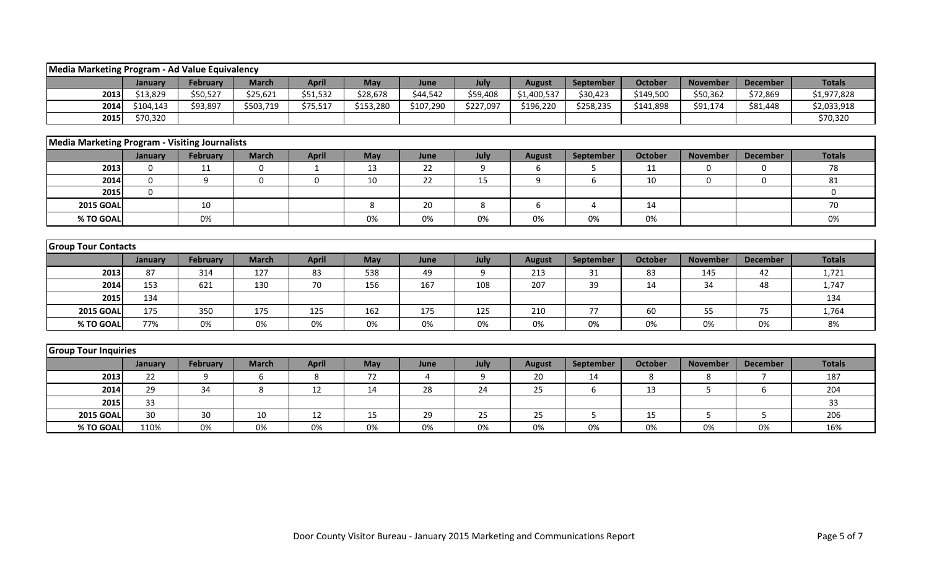| Media Marketing Program - Ad Value Equivalency        |                  |                 |                  |              |           |           |                  |               |           |                |                 |                 |               |
|-------------------------------------------------------|------------------|-----------------|------------------|--------------|-----------|-----------|------------------|---------------|-----------|----------------|-----------------|-----------------|---------------|
|                                                       | January          | <b>February</b> | <b>March</b>     | <b>April</b> | May       | June      | July             | <b>August</b> | September | <b>October</b> | <b>November</b> | <b>December</b> | <b>Totals</b> |
| 2013                                                  | \$13,829         | \$50,527        | \$25,621         | \$51,532     | \$28,678  | \$44,542  | \$59,408         | \$1,400,537   | \$30,423  | \$149,500      | \$50,362        | \$72,869        | \$1,977,828   |
| 2014                                                  | \$104,143        | \$93,897        | \$503,719        | \$75,517     | \$153,280 | \$107,290 | \$227,097        | \$196,220     | \$258,235 | \$141,898      | \$91,174        | \$81,448        | \$2,033,918   |
| 2015                                                  | \$70,320         |                 |                  |              |           |           |                  |               |           |                |                 |                 | \$70,320      |
|                                                       |                  |                 |                  |              |           |           |                  |               |           |                |                 |                 |               |
| <b>Media Marketing Program - Visiting Journalists</b> |                  |                 |                  |              |           |           |                  |               |           |                |                 |                 |               |
|                                                       | January          | February        | <b>March</b>     | <b>April</b> | May       | June      | July             | <b>August</b> | September | <b>October</b> | <b>November</b> | <b>December</b> | <b>Totals</b> |
| 2013                                                  | $\boldsymbol{0}$ | 11              | $\boldsymbol{0}$ | $\mathbf{1}$ | 13        | 22        | $\boldsymbol{9}$ | 6             | 5         | 11             | 0               | 0               | 78            |
| 2014                                                  | $\mathbf{0}$     | 9               | $\mathbf{0}$     | $\mathbf 0$  | 10        | 22        | 15               | 9             | 6         | 10             | $\Omega$        | $\Omega$        | 81            |
| 2015                                                  | $\Omega$         |                 |                  |              |           |           |                  |               |           |                |                 |                 | 0             |
| <b>2015 GOAL</b>                                      |                  | 10              |                  |              | 8         | 20        | 8                | 6             | 4         | 14             |                 |                 | 70            |
| % TO GOAL                                             |                  | 0%              |                  |              | 0%        | $0\%$     | 0%               | 0%            | 0%        | 0%             |                 |                 | 0%            |
|                                                       |                  |                 |                  |              |           |           |                  |               |           |                |                 |                 |               |
| <b>Group Tour Contacts</b>                            |                  |                 |                  |              |           |           |                  |               |           |                |                 |                 |               |
|                                                       | January          | February        | <b>March</b>     | <b>April</b> | May       | June      | July             | <b>August</b> | September | <b>October</b> | <b>November</b> | <b>December</b> | <b>Totals</b> |
| 2013                                                  | 87               | 314             | 127              | 83           | 538       | 49        | 9                | 213           | 31        | 83             | 145             | 42              | 1,721         |
| 2014                                                  | 153              | 621             | 130              | 70           | 156       | 167       | 108              | 207           | 39        | 14             | 34              | 48              | 1,747         |
| 2015                                                  | 134              |                 |                  |              |           |           |                  |               |           |                |                 |                 | 134           |
| <b>2015 GOAL</b>                                      | 175              | 350             | 175              | 125          | 162       | 175       | 125              | 210           | 77        | 60             | 55              | 75              | 1,764         |
| % TO GOAL                                             | 77%              | 0%              | 0%               | 0%           | 0%        | 0%        | 0%               | 0%            | 0%        | 0%             | 0%              | 0%              | 8%            |
|                                                       |                  |                 |                  |              |           |           |                  |               |           |                |                 |                 |               |
| <b>Group Tour Inquiries</b>                           |                  |                 |                  |              |           |           |                  |               |           |                |                 |                 |               |
|                                                       | January          | February        | <b>March</b>     | <b>April</b> | May       | June      | July             | <b>August</b> | September | <b>October</b> | <b>November</b> | <b>December</b> | <b>Totals</b> |
| 2013                                                  | 22               | 9               | 6                | 8            | 72        | 4         | 9                | 20            | 14        | 8              | 8               | $\overline{7}$  | 187           |
| 2014                                                  | 29               | 34              | 8                | 12           | 14        | 28        | 24               | 25            | 6         | 13             | 5               | 6               | 204           |
| 2015                                                  | 33               |                 |                  |              |           |           |                  |               |           |                |                 |                 | 33            |
| <b>2015 GOAL</b>                                      | 30               | 30              | 10               | 12           | 15        | 29        | 25               | 25            | 5         | 15             | 5.              | 5               | 206           |
| % TO GOAL                                             | 110%             | 0%              | $0\%$            | $0\%$        | 0%        | 0%        | 0%               | 0%            | 0%        | $0\%$          | 0%              | $0\%$           | 16%           |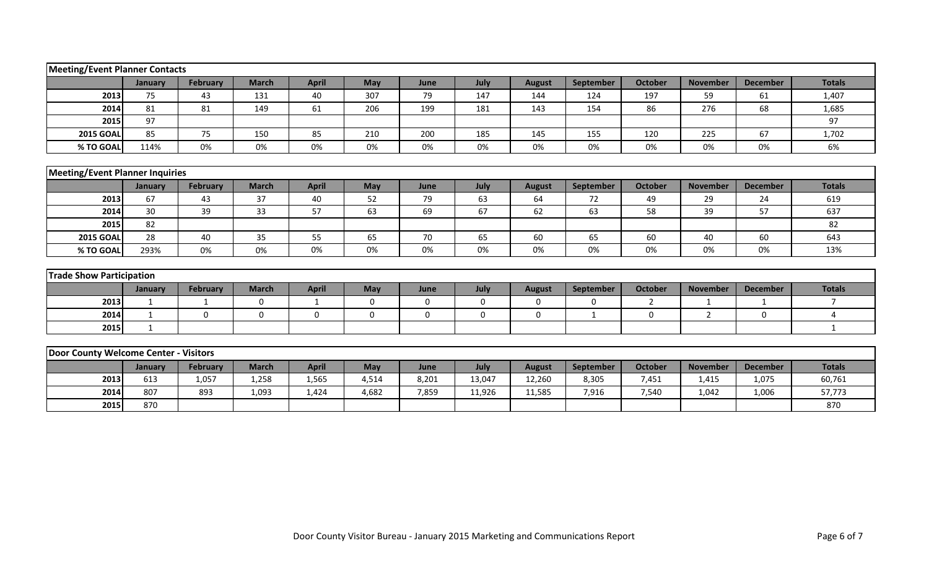| <b>Meeting/Event Planner Contacts</b>  |                 |                 |              |              |             |       |             |               |             |                |                 |                 |                |
|----------------------------------------|-----------------|-----------------|--------------|--------------|-------------|-------|-------------|---------------|-------------|----------------|-----------------|-----------------|----------------|
|                                        | January         | February        | <b>March</b> | <b>April</b> | May         | June  | July        | <b>August</b> | September   | <b>October</b> | <b>November</b> | <b>December</b> | <b>Totals</b>  |
| 2013                                   | 75              | 43              | 131          | 40           | 307         | 79    | 147         | 144           | 124         | 197            | 59              | 61              | 1,407          |
| 2014                                   | 81              | 81              | 149          | 61           | 206         | 199   | 181         | 143           | 154         | 86             | 276             | 68              | 1,685          |
| 2015                                   | 97              |                 |              |              |             |       |             |               |             |                |                 |                 | 97             |
| <b>2015 GOAL</b>                       | 85              | 75              | 150          | 85           | 210         | 200   | 185         | 145           | 155         | 120            | 225             | 67              | 1,702          |
| % TO GOAL                              | 114%            | 0%              | 0%           | 0%           | 0%          | 0%    | 0%          | 0%            | 0%          | 0%             | 0%              | 0%              | 6%             |
|                                        |                 |                 |              |              |             |       |             |               |             |                |                 |                 |                |
| <b>Meeting/Event Planner Inquiries</b> |                 |                 |              |              |             |       |             |               |             |                |                 |                 |                |
|                                        | January         | <b>February</b> | <b>March</b> | <b>April</b> | May         | June  | July        | <b>August</b> | September   | <b>October</b> | <b>November</b> | <b>December</b> | <b>Totals</b>  |
| 2013                                   | 67              | 43              | 37           | 40           | 52          | 79    | 63          | 64            | 72          | 49             | 29              | 24              | 619            |
| 2014                                   | 30 <sup>°</sup> | 39              | 33           | 57           | 63          | 69    | 67          | 62            | 63          | 58             | 39              | 57              | 637            |
| 2015                                   | 82              |                 |              |              |             |       |             |               |             |                |                 |                 | 82             |
| <b>2015 GOAL</b>                       | 28              | 40              | 35           | 55           | 65          | 70    | 65          | 60            | 65          | 60             | 40              | 60              | 643            |
| % TO GOAL                              | 293%            | 0%              | 0%           | 0%           | 0%          | 0%    | 0%          | 0%            | 0%          | 0%             | 0%              | 0%              | 13%            |
|                                        |                 |                 |              |              |             |       |             |               |             |                |                 |                 |                |
| <b>Trade Show Participation</b>        |                 |                 |              |              |             |       |             |               |             |                |                 |                 |                |
|                                        | January         | <b>February</b> | <b>March</b> | <b>April</b> | May         | June  | July        | <b>August</b> | September   | <b>October</b> | <b>November</b> | <b>December</b> | <b>Totals</b>  |
| 2013                                   | 1               | 1               | $\mathbf 0$  | 1            | $\mathbf 0$ | 0     | $\mathbf 0$ | $\mathbf 0$   | $\mathbf 0$ | $\overline{2}$ | $\mathbf{1}$    | 1               | $\overline{7}$ |
| 2014                                   | $\mathbf{1}$    | $\mathbf 0$     | $\mathbf 0$  | 0            | 0           | 0     | 0           | 0             | 1           | 0              | $\overline{2}$  | $\mathbf 0$     | 4              |
| 2015                                   | $\mathbf{1}$    |                 |              |              |             |       |             |               |             |                |                 |                 | $\mathbf 1$    |
|                                        |                 |                 |              |              |             |       |             |               |             |                |                 |                 |                |
| Door County Welcome Center - Visitors  |                 |                 |              |              |             |       |             |               |             |                |                 |                 |                |
|                                        | January         | February        | <b>March</b> | <b>April</b> | May         | June  | July        | <b>August</b> | September   | <b>October</b> | <b>November</b> | <b>December</b> | <b>Totals</b>  |
| 2013                                   | 613             | 1,057           | 1,258        | 1,565        | 4,514       | 8,201 | 13,047      | 12,260        | 8,305       | 7,451          | 1,415           | 1,075           | 60,761         |
| 2014                                   | 807             | 893             | 1,093        | 1,424        | 4,682       | 7,859 | 11,926      | 11,585        | 7,916       | 7,540          | 1,042           | 1,006           | 57,773         |
| 2015                                   | 870             |                 |              |              |             |       |             |               |             |                |                 |                 | 870            |